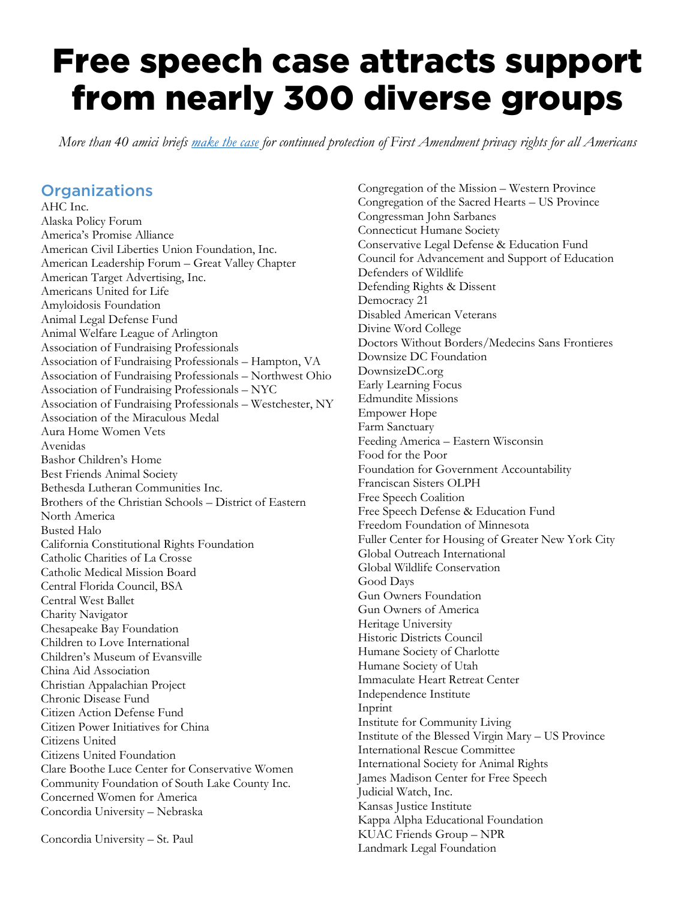## Free speech case attracts support from nearly 300 diverse groups

*More than 40 amici briefs [make the case](https://americansforprosperity.org/free-speech-case-attracts-support-from-hundreds-of-diverse-groups/) for continued protection of First Amendment privacy rights for all Americans*

## **Organizations**

AHC Inc. Alaska Policy Forum America's Promise Alliance American Civil Liberties Union Foundation, Inc. American Leadership Forum – Great Valley Chapter American Target Advertising, Inc. Americans United for Life Amyloidosis Foundation Animal Legal Defense Fund Animal Welfare League of Arlington Association of Fundraising Professionals Association of Fundraising Professionals – Hampton, VA Association of Fundraising Professionals – Northwest Ohio Association of Fundraising Professionals – NYC Association of Fundraising Professionals – Westchester, NY Association of the Miraculous Medal Aura Home Women Vets Avenidas Bashor Children's Home Best Friends Animal Society Bethesda Lutheran Communities Inc. Brothers of the Christian Schools – District of Eastern North America Busted Halo California Constitutional Rights Foundation Catholic Charities of La Crosse Catholic Medical Mission Board Central Florida Council, BSA Central West Ballet Charity Navigator Chesapeake Bay Foundation Children to Love International Children's Museum of Evansville China Aid Association Christian Appalachian Project Chronic Disease Fund Citizen Action Defense Fund Citizen Power Initiatives for China Citizens United Citizens United Foundation Clare Boothe Luce Center for Conservative Women Community Foundation of South Lake County Inc. Concerned Women for America Concordia University – Nebraska

Concordia University – St. Paul

Congregation of the Mission – Western Province Congregation of the Sacred Hearts – US Province Congressman John Sarbanes Connecticut Humane Society Conservative Legal Defense & Education Fund Council for Advancement and Support of Education Defenders of Wildlife Defending Rights & Dissent Democracy 21 Disabled American Veterans Divine Word College Doctors Without Borders/Medecins Sans Frontieres Downsize DC Foundation DownsizeDC.org Early Learning Focus Edmundite Missions Empower Hope Farm Sanctuary Feeding America – Eastern Wisconsin Food for the Poor Foundation for Government Accountability Franciscan Sisters OLPH Free Speech Coalition Free Speech Defense & Education Fund Freedom Foundation of Minnesota Fuller Center for Housing of Greater New York City Global Outreach International Global Wildlife Conservation Good Days Gun Owners Foundation Gun Owners of America Heritage University Historic Districts Council Humane Society of Charlotte Humane Society of Utah Immaculate Heart Retreat Center Independence Institute Inprint Institute for Community Living Institute of the Blessed Virgin Mary – US Province International Rescue Committee International Society for Animal Rights James Madison Center for Free Speech Judicial Watch, Inc. Kansas Justice Institute Kappa Alpha Educational Foundation KUAC Friends Group – NPR Landmark Legal Foundation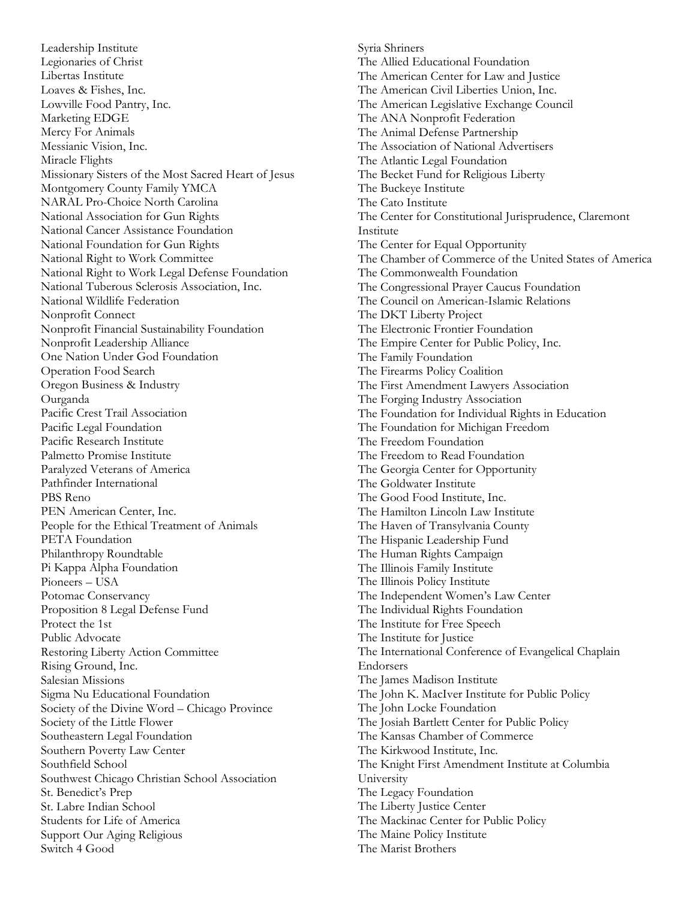Leadership Institute Legionaries of Christ Libertas Institute Loaves & Fishes, Inc. Lowville Food Pantry, Inc. Marketing EDGE Mercy For Animals Messianic Vision, Inc. Miracle Flights Missionary Sisters of the Most Sacred Heart of Jesus Montgomery County Family YMCA NARAL Pro-Choice North Carolina National Association for Gun Rights National Cancer Assistance Foundation National Foundation for Gun Rights National Right to Work Committee National Right to Work Legal Defense Foundation National Tuberous Sclerosis Association, Inc. National Wildlife Federation Nonprofit Connect Nonprofit Financial Sustainability Foundation Nonprofit Leadership Alliance One Nation Under God Foundation Operation Food Search Oregon Business & Industry Ourganda Pacific Crest Trail Association Pacific Legal Foundation Pacific Research Institute Palmetto Promise Institute Paralyzed Veterans of America Pathfinder International PBS Reno PEN American Center, Inc. People for the Ethical Treatment of Animals PETA Foundation Philanthropy Roundtable Pi Kappa Alpha Foundation Pioneers – USA Potomac Conservancy Proposition 8 Legal Defense Fund Protect the 1st Public Advocate Restoring Liberty Action Committee Rising Ground, Inc. Salesian Missions Sigma Nu Educational Foundation Society of the Divine Word – Chicago Province Society of the Little Flower Southeastern Legal Foundation Southern Poverty Law Center Southfield School Southwest Chicago Christian School Association St. Benedict's Prep St. Labre Indian School Students for Life of America Support Our Aging Religious Switch 4 Good

Syria Shriners The Allied Educational Foundation The American Center for Law and Justice The American Civil Liberties Union, Inc. The American Legislative Exchange Council The ANA Nonprofit Federation The Animal Defense Partnership The Association of National Advertisers The Atlantic Legal Foundation The Becket Fund for Religious Liberty The Buckeye Institute The Cato Institute The Center for Constitutional Jurisprudence, Claremont Institute The Center for Equal Opportunity The Chamber of Commerce of the United States of America The Commonwealth Foundation The Congressional Prayer Caucus Foundation The Council on American-Islamic Relations The DKT Liberty Project The Electronic Frontier Foundation The Empire Center for Public Policy, Inc. The Family Foundation The Firearms Policy Coalition The First Amendment Lawyers Association The Forging Industry Association The Foundation for Individual Rights in Education The Foundation for Michigan Freedom The Freedom Foundation The Freedom to Read Foundation The Georgia Center for Opportunity The Goldwater Institute The Good Food Institute, Inc. The Hamilton Lincoln Law Institute The Haven of Transylvania County The Hispanic Leadership Fund The Human Rights Campaign The Illinois Family Institute The Illinois Policy Institute The Independent Women's Law Center The Individual Rights Foundation The Institute for Free Speech The Institute for Justice The International Conference of Evangelical Chaplain Endorsers The James Madison Institute The John K. MacIver Institute for Public Policy The John Locke Foundation The Josiah Bartlett Center for Public Policy The Kansas Chamber of Commerce The Kirkwood Institute, Inc. The Knight First Amendment Institute at Columbia University The Legacy Foundation The Liberty Justice Center The Mackinac Center for Public Policy The Maine Policy Institute The Marist Brothers